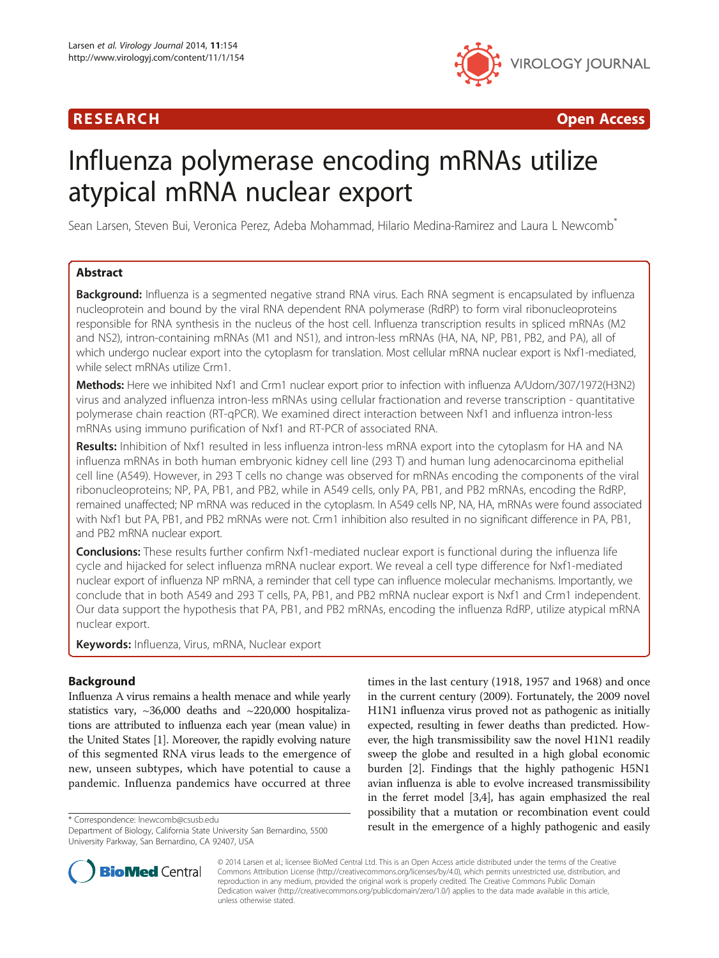

R E S EAR CH Open Access

# Influenza polymerase encoding mRNAs utilize atypical mRNA nuclear export

Sean Larsen, Steven Bui, Veronica Perez, Adeba Mohammad, Hilario Medina-Ramirez and Laura L Newcomb\*

# Abstract

Background: Influenza is a segmented negative strand RNA virus. Each RNA segment is encapsulated by influenza nucleoprotein and bound by the viral RNA dependent RNA polymerase (RdRP) to form viral ribonucleoproteins responsible for RNA synthesis in the nucleus of the host cell. Influenza transcription results in spliced mRNAs (M2 and NS2), intron-containing mRNAs (M1 and NS1), and intron-less mRNAs (HA, NA, NP, PB1, PB2, and PA), all of which undergo nuclear export into the cytoplasm for translation. Most cellular mRNA nuclear export is Nxf1-mediated, while select mRNAs utilize Crm1.

Methods: Here we inhibited Nxf1 and Crm1 nuclear export prior to infection with influenza A/Udorn/307/1972(H3N2) virus and analyzed influenza intron-less mRNAs using cellular fractionation and reverse transcription - quantitative polymerase chain reaction (RT-qPCR). We examined direct interaction between Nxf1 and influenza intron-less mRNAs using immuno purification of Nxf1 and RT-PCR of associated RNA.

Results: Inhibition of Nxf1 resulted in less influenza intron-less mRNA export into the cytoplasm for HA and NA influenza mRNAs in both human embryonic kidney cell line (293 T) and human lung adenocarcinoma epithelial cell line (A549). However, in 293 T cells no change was observed for mRNAs encoding the components of the viral ribonucleoproteins; NP, PA, PB1, and PB2, while in A549 cells, only PA, PB1, and PB2 mRNAs, encoding the RdRP, remained unaffected; NP mRNA was reduced in the cytoplasm. In A549 cells NP, NA, HA, mRNAs were found associated with Nxf1 but PA, PB1, and PB2 mRNAs were not. Crm1 inhibition also resulted in no significant difference in PA, PB1, and PB2 mRNA nuclear export.

Conclusions: These results further confirm Nxf1-mediated nuclear export is functional during the influenza life cycle and hijacked for select influenza mRNA nuclear export. We reveal a cell type difference for Nxf1-mediated nuclear export of influenza NP mRNA, a reminder that cell type can influence molecular mechanisms. Importantly, we conclude that in both A549 and 293 T cells, PA, PB1, and PB2 mRNA nuclear export is Nxf1 and Crm1 independent. Our data support the hypothesis that PA, PB1, and PB2 mRNAs, encoding the influenza RdRP, utilize atypical mRNA nuclear export.

Keywords: Influenza, Virus, mRNA, Nuclear export

# Background

Influenza A virus remains a health menace and while yearly statistics vary, ~36,000 deaths and ~220,000 hospitalizations are attributed to influenza each year (mean value) in the United States [\[1\]](#page-9-0). Moreover, the rapidly evolving nature of this segmented RNA virus leads to the emergence of new, unseen subtypes, which have potential to cause a pandemic. Influenza pandemics have occurred at three

times in the last century (1918, 1957 and 1968) and once in the current century (2009). Fortunately, the 2009 novel H1N1 influenza virus proved not as pathogenic as initially expected, resulting in fewer deaths than predicted. However, the high transmissibility saw the novel H1N1 readily sweep the globe and resulted in a high global economic burden [[2\]](#page-9-0). Findings that the highly pathogenic H5N1 avian influenza is able to evolve increased transmissibility in the ferret model [[3,4\]](#page-9-0), has again emphasized the real possibility that a mutation or recombination event could \* Correspondence: [lnewcomb@csusb.edu](mailto:lnewcomb@csusb.edu)<br>Department of Biology California State University San Bernardino, 5500 **result in the emergence of a highly pathogenic and easily** 



© 2014 Larsen et al.; licensee BioMed Central Ltd. This is an Open Access article distributed under the terms of the Creative Commons Attribution License [\(http://creativecommons.org/licenses/by/4.0\)](http://creativecommons.org/licenses/by/4.0), which permits unrestricted use, distribution, and reproduction in any medium, provided the original work is properly credited. The Creative Commons Public Domain Dedication waiver [\(http://creativecommons.org/publicdomain/zero/1.0/](http://creativecommons.org/publicdomain/zero/1.0/)) applies to the data made available in this article, unless otherwise stated.

Department of Biology, California State University San Bernardino, 5500 University Parkway, San Bernardino, CA 92407, USA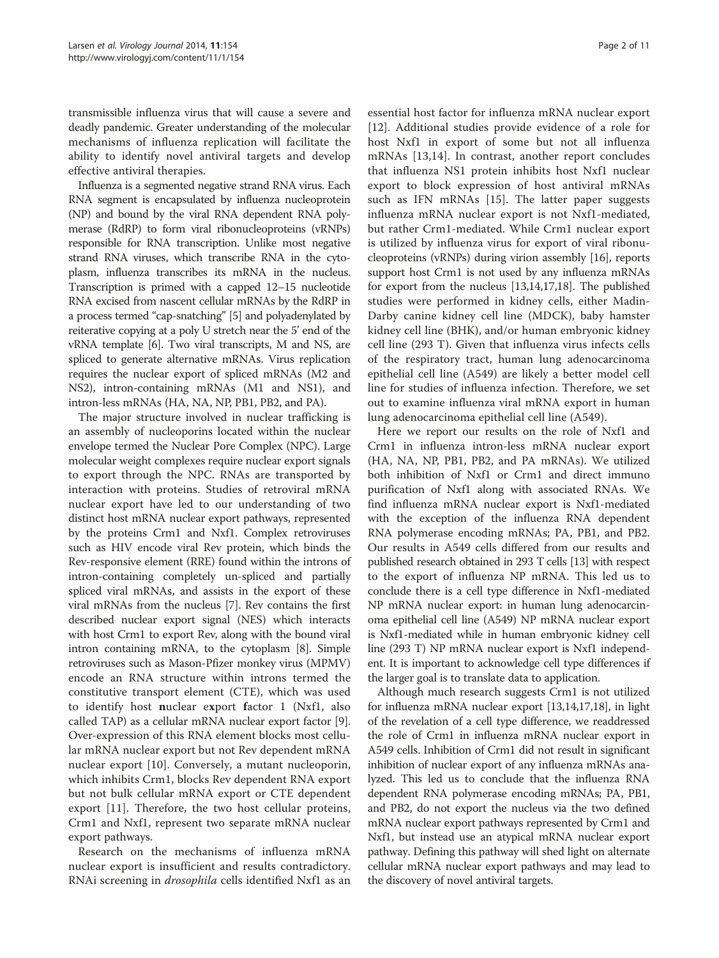transmissible influenza virus that will cause a severe and deadly pandemic. Greater understanding of the molecular mechanisms of influenza replication will facilitate the ability to identify novel antiviral targets and develop effective antiviral therapies.

Influenza is a segmented negative strand RNA virus. Each RNA segment is encapsulated by influenza nucleoprotein (NP) and bound by the viral RNA dependent RNA polymerase (RdRP) to form viral ribonucleoproteins (vRNPs) responsible for RNA transcription. Unlike most negative strand RNA viruses, which transcribe RNA in the cytoplasm, influenza transcribes its mRNA in the nucleus. Transcription is primed with a capped 12–15 nucleotide RNA excised from nascent cellular mRNAs by the RdRP in a process termed "cap-snatching" [[5](#page-9-0)] and polyadenylated by reiterative copying at a poly U stretch near the 5' end of the vRNA template [[6](#page-9-0)]. Two viral transcripts, M and NS, are spliced to generate alternative mRNAs. Virus replication requires the nuclear export of spliced mRNAs (M2 and NS2), intron-containing mRNAs (M1 and NS1), and intron-less mRNAs (HA, NA, NP, PB1, PB2, and PA).

The major structure involved in nuclear trafficking is an assembly of nucleoporins located within the nuclear envelope termed the Nuclear Pore Complex (NPC). Large molecular weight complexes require nuclear export signals to export through the NPC. RNAs are transported by interaction with proteins. Studies of retroviral mRNA nuclear export have led to our understanding of two distinct host mRNA nuclear export pathways, represented by the proteins Crm1 and Nxf1. Complex retroviruses such as HIV encode viral Rev protein, which binds the Rev-responsive element (RRE) found within the introns of intron-containing completely un-spliced and partially spliced viral mRNAs, and assists in the export of these viral mRNAs from the nucleus [[7](#page-10-0)]. Rev contains the first described nuclear export signal (NES) which interacts with host Crm1 to export Rev, along with the bound viral intron containing mRNA, to the cytoplasm [\[8](#page-10-0)]. Simple retroviruses such as Mason-Pfizer monkey virus (MPMV) encode an RNA structure within introns termed the constitutive transport element (CTE), which was used to identify host nuclear export factor 1 (Nxf1, also called TAP) as a cellular mRNA nuclear export factor [[9](#page-10-0)]. Over-expression of this RNA element blocks most cellular mRNA nuclear export but not Rev dependent mRNA nuclear export [[10](#page-10-0)]. Conversely, a mutant nucleoporin, which inhibits Crm1, blocks Rev dependent RNA export but not bulk cellular mRNA export or CTE dependent export [\[11](#page-10-0)]. Therefore, the two host cellular proteins, Crm1 and Nxf1, represent two separate mRNA nuclear export pathways.

Research on the mechanisms of influenza mRNA nuclear export is insufficient and results contradictory. RNAi screening in drosophila cells identified Nxf1 as an

essential host factor for influenza mRNA nuclear export [[12\]](#page-10-0). Additional studies provide evidence of a role for host Nxf1 in export of some but not all influenza mRNAs [\[13,14](#page-10-0)]. In contrast, another report concludes that influenza NS1 protein inhibits host Nxf1 nuclear export to block expression of host antiviral mRNAs such as IFN mRNAs [[15\]](#page-10-0). The latter paper suggests influenza mRNA nuclear export is not Nxf1-mediated, but rather Crm1-mediated. While Crm1 nuclear export is utilized by influenza virus for export of viral ribonucleoproteins (vRNPs) during virion assembly [[16\]](#page-10-0), reports support host Crm1 is not used by any influenza mRNAs for export from the nucleus [[13,14,17,18](#page-10-0)]. The published studies were performed in kidney cells, either Madin-Darby canine kidney cell line (MDCK), baby hamster kidney cell line (BHK), and/or human embryonic kidney cell line (293 T). Given that influenza virus infects cells of the respiratory tract, human lung adenocarcinoma epithelial cell line (A549) are likely a better model cell line for studies of influenza infection. Therefore, we set out to examine influenza viral mRNA export in human lung adenocarcinoma epithelial cell line (A549).

Here we report our results on the role of Nxf1 and Crm1 in influenza intron-less mRNA nuclear export (HA, NA, NP, PB1, PB2, and PA mRNAs). We utilized both inhibition of Nxf1 or Crm1 and direct immuno purification of Nxf1 along with associated RNAs. We find influenza mRNA nuclear export is Nxf1-mediated with the exception of the influenza RNA dependent RNA polymerase encoding mRNAs; PA, PB1, and PB2. Our results in A549 cells differed from our results and published research obtained in 293 T cells [\[13\]](#page-10-0) with respect to the export of influenza NP mRNA. This led us to conclude there is a cell type difference in Nxf1-mediated NP mRNA nuclear export: in human lung adenocarcinoma epithelial cell line (A549) NP mRNA nuclear export is Nxf1-mediated while in human embryonic kidney cell line (293 T) NP mRNA nuclear export is Nxf1 independent. It is important to acknowledge cell type differences if the larger goal is to translate data to application.

Although much research suggests Crm1 is not utilized for influenza mRNA nuclear export [\[13,14,17,18\]](#page-10-0), in light of the revelation of a cell type difference, we readdressed the role of Crm1 in influenza mRNA nuclear export in A549 cells. Inhibition of Crm1 did not result in significant inhibition of nuclear export of any influenza mRNAs analyzed. This led us to conclude that the influenza RNA dependent RNA polymerase encoding mRNAs; PA, PB1, and PB2, do not export the nucleus via the two defined mRNA nuclear export pathways represented by Crm1 and Nxf1, but instead use an atypical mRNA nuclear export pathway. Defining this pathway will shed light on alternate cellular mRNA nuclear export pathways and may lead to the discovery of novel antiviral targets.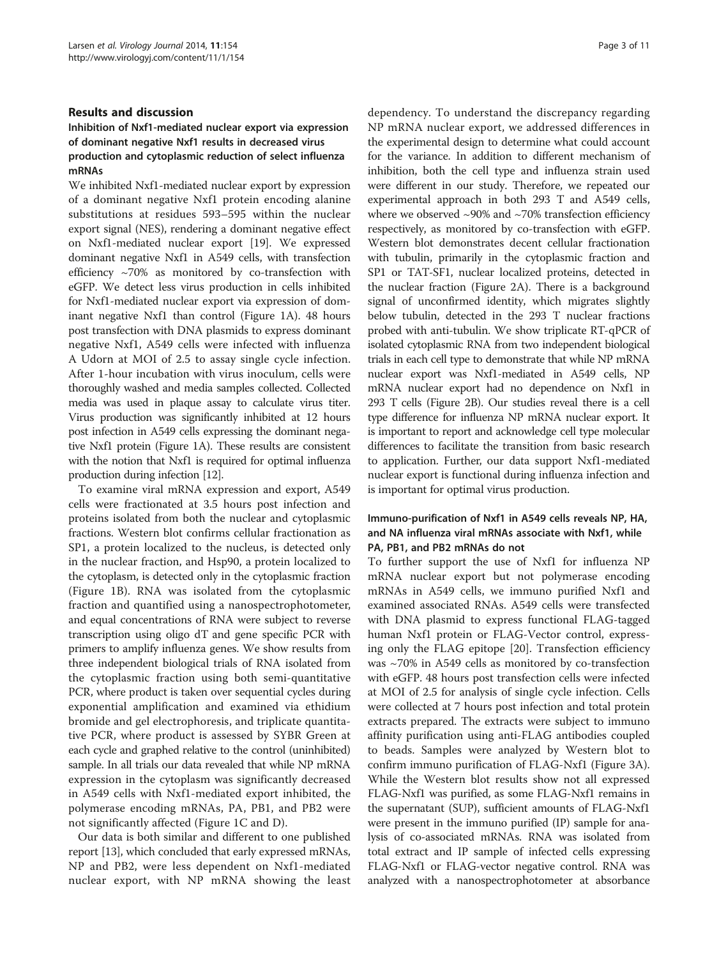#### Results and discussion

# Inhibition of Nxf1-mediated nuclear export via expression of dominant negative Nxf1 results in decreased virus production and cytoplasmic reduction of select influenza mRNAs

We inhibited Nxf1-mediated nuclear export by expression of a dominant negative Nxf1 protein encoding alanine substitutions at residues 593–595 within the nuclear export signal (NES), rendering a dominant negative effect on Nxf1-mediated nuclear export [\[19\]](#page-10-0). We expressed dominant negative Nxf1 in A549 cells, with transfection efficiency ~70% as monitored by co-transfection with eGFP. We detect less virus production in cells inhibited for Nxf1-mediated nuclear export via expression of dominant negative Nxf1 than control (Figure [1A](#page-3-0)). 48 hours post transfection with DNA plasmids to express dominant negative Nxf1, A549 cells were infected with influenza A Udorn at MOI of 2.5 to assay single cycle infection. After 1-hour incubation with virus inoculum, cells were thoroughly washed and media samples collected. Collected media was used in plaque assay to calculate virus titer. Virus production was significantly inhibited at 12 hours post infection in A549 cells expressing the dominant negative Nxf1 protein (Figure [1](#page-3-0)A). These results are consistent with the notion that Nxf1 is required for optimal influenza production during infection [\[12](#page-10-0)].

To examine viral mRNA expression and export, A549 cells were fractionated at 3.5 hours post infection and proteins isolated from both the nuclear and cytoplasmic fractions. Western blot confirms cellular fractionation as SP1, a protein localized to the nucleus, is detected only in the nuclear fraction, and Hsp90, a protein localized to the cytoplasm, is detected only in the cytoplasmic fraction (Figure [1B](#page-3-0)). RNA was isolated from the cytoplasmic fraction and quantified using a nanospectrophotometer, and equal concentrations of RNA were subject to reverse transcription using oligo dT and gene specific PCR with primers to amplify influenza genes. We show results from three independent biological trials of RNA isolated from the cytoplasmic fraction using both semi-quantitative PCR, where product is taken over sequential cycles during exponential amplification and examined via ethidium bromide and gel electrophoresis, and triplicate quantitative PCR, where product is assessed by SYBR Green at each cycle and graphed relative to the control (uninhibited) sample. In all trials our data revealed that while NP mRNA expression in the cytoplasm was significantly decreased in A549 cells with Nxf1-mediated export inhibited, the polymerase encoding mRNAs, PA, PB1, and PB2 were not significantly affected (Figure [1](#page-3-0)C and D).

Our data is both similar and different to one published report [\[13\]](#page-10-0), which concluded that early expressed mRNAs, NP and PB2, were less dependent on Nxf1-mediated nuclear export, with NP mRNA showing the least

dependency. To understand the discrepancy regarding NP mRNA nuclear export, we addressed differences in the experimental design to determine what could account for the variance. In addition to different mechanism of inhibition, both the cell type and influenza strain used were different in our study. Therefore, we repeated our experimental approach in both 293 T and A549 cells, where we observed  $\sim$ 90% and  $\sim$ 70% transfection efficiency respectively, as monitored by co-transfection with eGFP. Western blot demonstrates decent cellular fractionation with tubulin, primarily in the cytoplasmic fraction and SP1 or TAT-SF1, nuclear localized proteins, detected in the nuclear fraction (Figure [2A](#page-4-0)). There is a background signal of unconfirmed identity, which migrates slightly below tubulin, detected in the 293 T nuclear fractions probed with anti-tubulin. We show triplicate RT-qPCR of isolated cytoplasmic RNA from two independent biological trials in each cell type to demonstrate that while NP mRNA nuclear export was Nxf1-mediated in A549 cells, NP mRNA nuclear export had no dependence on Nxf1 in 293 T cells (Figure [2B](#page-4-0)). Our studies reveal there is a cell type difference for influenza NP mRNA nuclear export. It is important to report and acknowledge cell type molecular differences to facilitate the transition from basic research to application. Further, our data support Nxf1-mediated nuclear export is functional during influenza infection and is important for optimal virus production.

# Immuno-purification of Nxf1 in A549 cells reveals NP, HA, and NA influenza viral mRNAs associate with Nxf1, while PA, PB1, and PB2 mRNAs do not

To further support the use of Nxf1 for influenza NP mRNA nuclear export but not polymerase encoding mRNAs in A549 cells, we immuno purified Nxf1 and examined associated RNAs. A549 cells were transfected with DNA plasmid to express functional FLAG-tagged human Nxf1 protein or FLAG-Vector control, expressing only the FLAG epitope [[20](#page-10-0)]. Transfection efficiency was ~70% in A549 cells as monitored by co-transfection with eGFP. 48 hours post transfection cells were infected at MOI of 2.5 for analysis of single cycle infection. Cells were collected at 7 hours post infection and total protein extracts prepared. The extracts were subject to immuno affinity purification using anti-FLAG antibodies coupled to beads. Samples were analyzed by Western blot to confirm immuno purification of FLAG-Nxf1 (Figure [3](#page-4-0)A). While the Western blot results show not all expressed FLAG-Nxf1 was purified, as some FLAG-Nxf1 remains in the supernatant (SUP), sufficient amounts of FLAG-Nxf1 were present in the immuno purified (IP) sample for analysis of co-associated mRNAs. RNA was isolated from total extract and IP sample of infected cells expressing FLAG-Nxf1 or FLAG-vector negative control. RNA was analyzed with a nanospectrophotometer at absorbance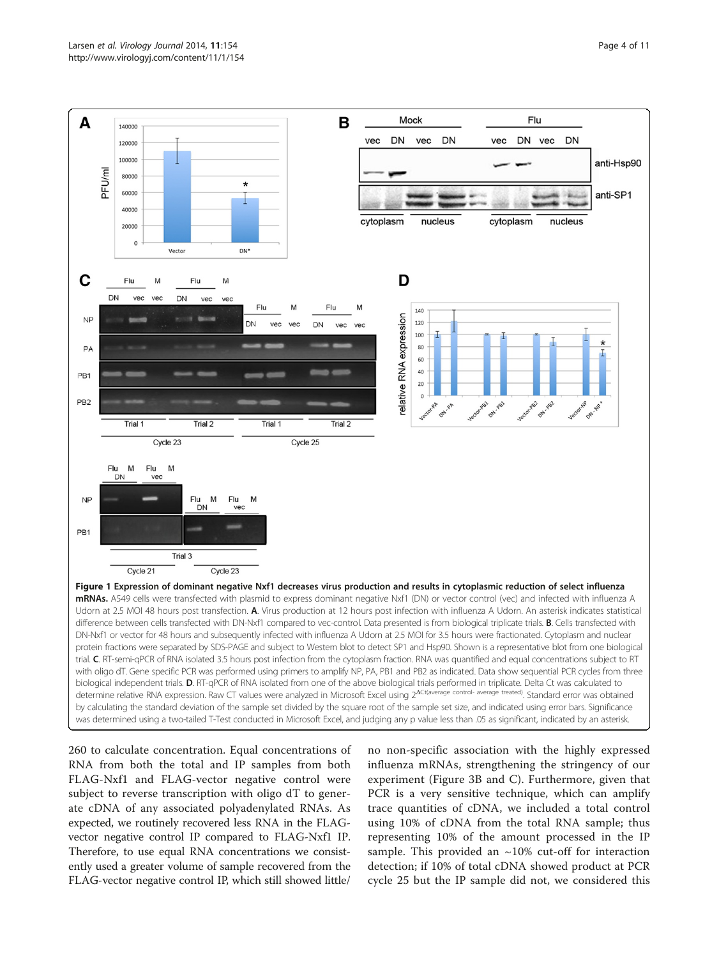<span id="page-3-0"></span>

260 to calculate concentration. Equal concentrations of RNA from both the total and IP samples from both FLAG-Nxf1 and FLAG-vector negative control were subject to reverse transcription with oligo dT to generate cDNA of any associated polyadenylated RNAs. As expected, we routinely recovered less RNA in the FLAGvector negative control IP compared to FLAG-Nxf1 IP. Therefore, to use equal RNA concentrations we consistently used a greater volume of sample recovered from the FLAG-vector negative control IP, which still showed little/

no non-specific association with the highly expressed influenza mRNAs, strengthening the stringency of our experiment (Figure [3B](#page-4-0) and C). Furthermore, given that PCR is a very sensitive technique, which can amplify trace quantities of cDNA, we included a total control using 10% of cDNA from the total RNA sample; thus representing 10% of the amount processed in the IP sample. This provided an  $\sim$ 10% cut-off for interaction detection; if 10% of total cDNA showed product at PCR cycle 25 but the IP sample did not, we considered this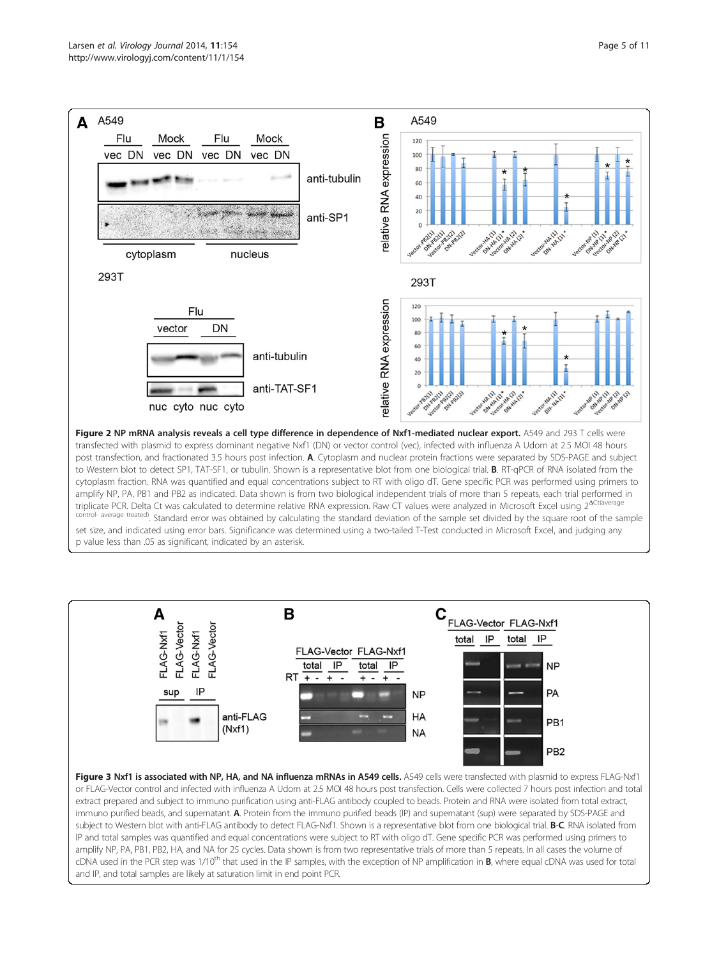<span id="page-4-0"></span>

to Western blot to detect SP1, TAT-SF1, or tubulin. Shown is a representative blot from one biological trial. B. RT-qPCR of RNA isolated from the cytoplasm fraction. RNA was quantified and equal concentrations subject to RT with oligo dT. Gene specific PCR was performed using primers to amplify NP, PA, PB1 and PB2 as indicated. Data shown is from two biological independent trials of more than 5 repeats, each trial performed in triplicate PCR. Delta Ct was calculated to determine relative RNA expression. Raw CT values were analyzed in Microsoft Excel using 2<sup>ΔCt(averag</sup> control- average treated). Standard error was obtained by calculating the standard deviation of the sample set divided by the square root of the sample set size, and indicated using error bars. Significance was determined using a two-tailed T-Test conducted in Microsoft Excel, and judging any p value less than .05 as significant, indicated by an asterisk.



immuno purified beads, and supernatant. A. Protein from the immuno purified beads (IP) and supernatant (sup) were separated by SDS-PAGE and subject to Western blot with anti-FLAG antibody to detect FLAG-Nxf1. Shown is a representative blot from one biological trial. B-C. RNA isolated from IP and total samples was quantified and equal concentrations were subject to RT with oligo dT. Gene specific PCR was performed using primers to amplify NP, PA, PB1, PB2, HA, and NA for 25 cycles. Data shown is from two representative trials of more than 5 repeats. In all cases the volume of cDNA used in the PCR step was 1/10<sup>th</sup> that used in the IP samples, with the exception of NP amplification in **B**, where equal cDNA was used for total and IP, and total samples are likely at saturation limit in end point PCR.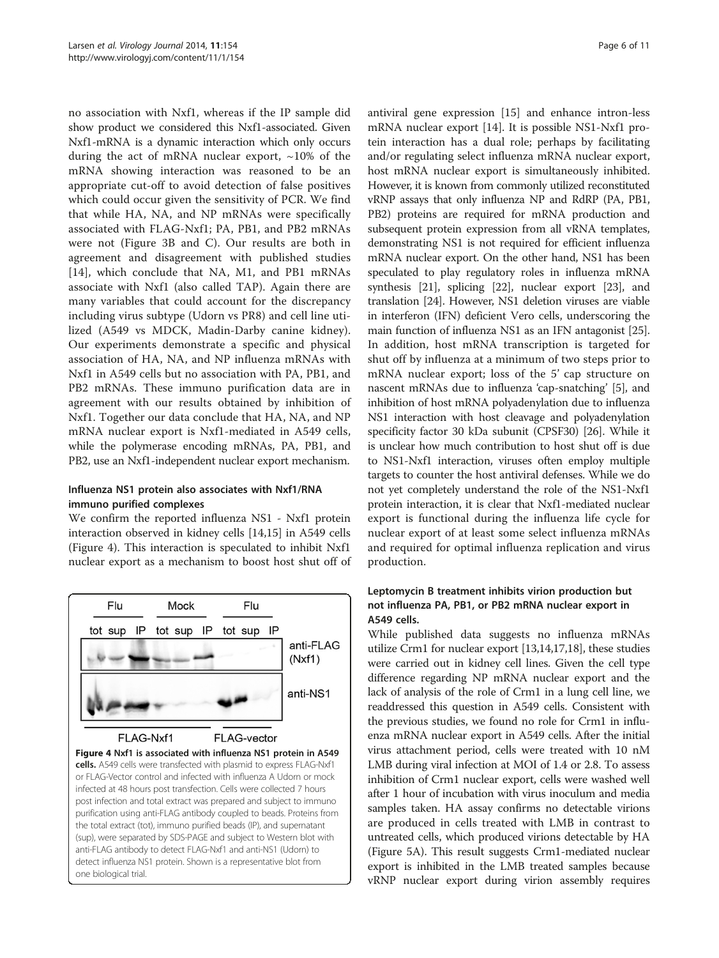<span id="page-5-0"></span>no association with Nxf1, whereas if the IP sample did show product we considered this Nxf1-associated. Given Nxf1-mRNA is a dynamic interaction which only occurs during the act of mRNA nuclear export,  $\sim$ 10% of the mRNA showing interaction was reasoned to be an appropriate cut-off to avoid detection of false positives which could occur given the sensitivity of PCR. We find that while HA, NA, and NP mRNAs were specifically associated with FLAG-Nxf1; PA, PB1, and PB2 mRNAs were not (Figure [3](#page-4-0)B and C). Our results are both in agreement and disagreement with published studies [[14\]](#page-10-0), which conclude that NA, M1, and PB1 mRNAs associate with Nxf1 (also called TAP). Again there are many variables that could account for the discrepancy including virus subtype (Udorn vs PR8) and cell line utilized (A549 vs MDCK, Madin-Darby canine kidney). Our experiments demonstrate a specific and physical association of HA, NA, and NP influenza mRNAs with Nxf1 in A549 cells but no association with PA, PB1, and PB2 mRNAs. These immuno purification data are in agreement with our results obtained by inhibition of Nxf1. Together our data conclude that HA, NA, and NP mRNA nuclear export is Nxf1-mediated in A549 cells, while the polymerase encoding mRNAs, PA, PB1, and PB2, use an Nxf1-independent nuclear export mechanism.

# Influenza NS1 protein also associates with Nxf1/RNA immuno purified complexes

We confirm the reported influenza NS1 - Nxf1 protein interaction observed in kidney cells [[14,15\]](#page-10-0) in A549 cells (Figure 4). This interaction is speculated to inhibit Nxf1 nuclear export as a mechanism to boost host shut off of



antiviral gene expression [\[15](#page-10-0)] and enhance intron-less mRNA nuclear export [[14\]](#page-10-0). It is possible NS1-Nxf1 protein interaction has a dual role; perhaps by facilitating and/or regulating select influenza mRNA nuclear export, host mRNA nuclear export is simultaneously inhibited. However, it is known from commonly utilized reconstituted vRNP assays that only influenza NP and RdRP (PA, PB1, PB2) proteins are required for mRNA production and subsequent protein expression from all vRNA templates, demonstrating NS1 is not required for efficient influenza mRNA nuclear export. On the other hand, NS1 has been speculated to play regulatory roles in influenza mRNA synthesis [[21](#page-10-0)], splicing [[22](#page-10-0)], nuclear export [[23](#page-10-0)], and translation [[24\]](#page-10-0). However, NS1 deletion viruses are viable in interferon (IFN) deficient Vero cells, underscoring the main function of influenza NS1 as an IFN antagonist [[25](#page-10-0)]. In addition, host mRNA transcription is targeted for shut off by influenza at a minimum of two steps prior to mRNA nuclear export; loss of the 5' cap structure on nascent mRNAs due to influenza 'cap-snatching' [\[5](#page-9-0)], and inhibition of host mRNA polyadenylation due to influenza NS1 interaction with host cleavage and polyadenylation specificity factor 30 kDa subunit (CPSF30) [\[26](#page-10-0)]. While it is unclear how much contribution to host shut off is due to NS1-Nxf1 interaction, viruses often employ multiple targets to counter the host antiviral defenses. While we do not yet completely understand the role of the NS1-Nxf1 protein interaction, it is clear that Nxf1-mediated nuclear export is functional during the influenza life cycle for nuclear export of at least some select influenza mRNAs and required for optimal influenza replication and virus production.

# Leptomycin B treatment inhibits virion production but not influenza PA, PB1, or PB2 mRNA nuclear export in A549 cells.

While published data suggests no influenza mRNAs utilize Crm1 for nuclear export [\[13,14,17,18\]](#page-10-0), these studies were carried out in kidney cell lines. Given the cell type difference regarding NP mRNA nuclear export and the lack of analysis of the role of Crm1 in a lung cell line, we readdressed this question in A549 cells. Consistent with the previous studies, we found no role for Crm1 in influenza mRNA nuclear export in A549 cells. After the initial virus attachment period, cells were treated with 10 nM LMB during viral infection at MOI of 1.4 or 2.8. To assess inhibition of Crm1 nuclear export, cells were washed well after 1 hour of incubation with virus inoculum and media samples taken. HA assay confirms no detectable virions are produced in cells treated with LMB in contrast to untreated cells, which produced virions detectable by HA (Figure [5A](#page-6-0)). This result suggests Crm1-mediated nuclear export is inhibited in the LMB treated samples because vRNP nuclear export during virion assembly requires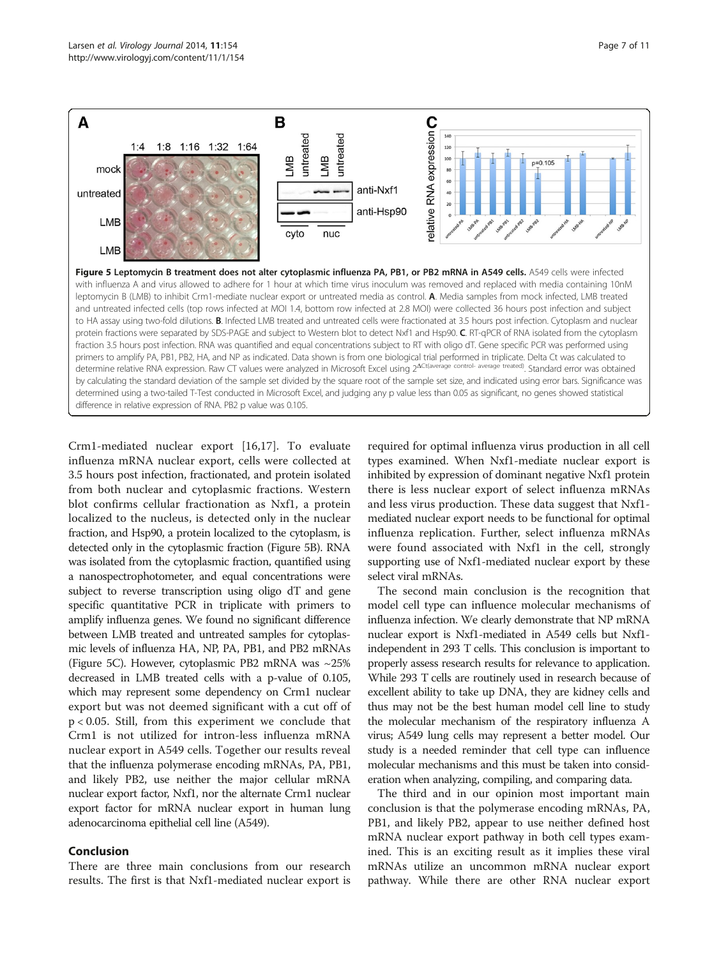<span id="page-6-0"></span>

Crm1-mediated nuclear export [[16,17\]](#page-10-0). To evaluate influenza mRNA nuclear export, cells were collected at 3.5 hours post infection, fractionated, and protein isolated from both nuclear and cytoplasmic fractions. Western blot confirms cellular fractionation as Nxf1, a protein localized to the nucleus, is detected only in the nuclear fraction, and Hsp90, a protein localized to the cytoplasm, is detected only in the cytoplasmic fraction (Figure 5B). RNA was isolated from the cytoplasmic fraction, quantified using a nanospectrophotometer, and equal concentrations were subject to reverse transcription using oligo dT and gene specific quantitative PCR in triplicate with primers to amplify influenza genes. We found no significant difference between LMB treated and untreated samples for cytoplasmic levels of influenza HA, NP, PA, PB1, and PB2 mRNAs (Figure 5C). However, cytoplasmic PB2 mRNA was ~25% decreased in LMB treated cells with a p-value of 0.105, which may represent some dependency on Crm1 nuclear export but was not deemed significant with a cut off of p < 0.05. Still, from this experiment we conclude that Crm1 is not utilized for intron-less influenza mRNA nuclear export in A549 cells. Together our results reveal that the influenza polymerase encoding mRNAs, PA, PB1, and likely PB2, use neither the major cellular mRNA nuclear export factor, Nxf1, nor the alternate Crm1 nuclear export factor for mRNA nuclear export in human lung adenocarcinoma epithelial cell line (A549).

# Conclusion

There are three main conclusions from our research results. The first is that Nxf1-mediated nuclear export is

required for optimal influenza virus production in all cell types examined. When Nxf1-mediate nuclear export is inhibited by expression of dominant negative Nxf1 protein there is less nuclear export of select influenza mRNAs and less virus production. These data suggest that Nxf1 mediated nuclear export needs to be functional for optimal influenza replication. Further, select influenza mRNAs were found associated with Nxf1 in the cell, strongly supporting use of Nxf1-mediated nuclear export by these select viral mRNAs.

The second main conclusion is the recognition that model cell type can influence molecular mechanisms of influenza infection. We clearly demonstrate that NP mRNA nuclear export is Nxf1-mediated in A549 cells but Nxf1 independent in 293 T cells. This conclusion is important to properly assess research results for relevance to application. While 293 T cells are routinely used in research because of excellent ability to take up DNA, they are kidney cells and thus may not be the best human model cell line to study the molecular mechanism of the respiratory influenza A virus; A549 lung cells may represent a better model. Our study is a needed reminder that cell type can influence molecular mechanisms and this must be taken into consideration when analyzing, compiling, and comparing data.

The third and in our opinion most important main conclusion is that the polymerase encoding mRNAs, PA, PB1, and likely PB2, appear to use neither defined host mRNA nuclear export pathway in both cell types examined. This is an exciting result as it implies these viral mRNAs utilize an uncommon mRNA nuclear export pathway. While there are other RNA nuclear export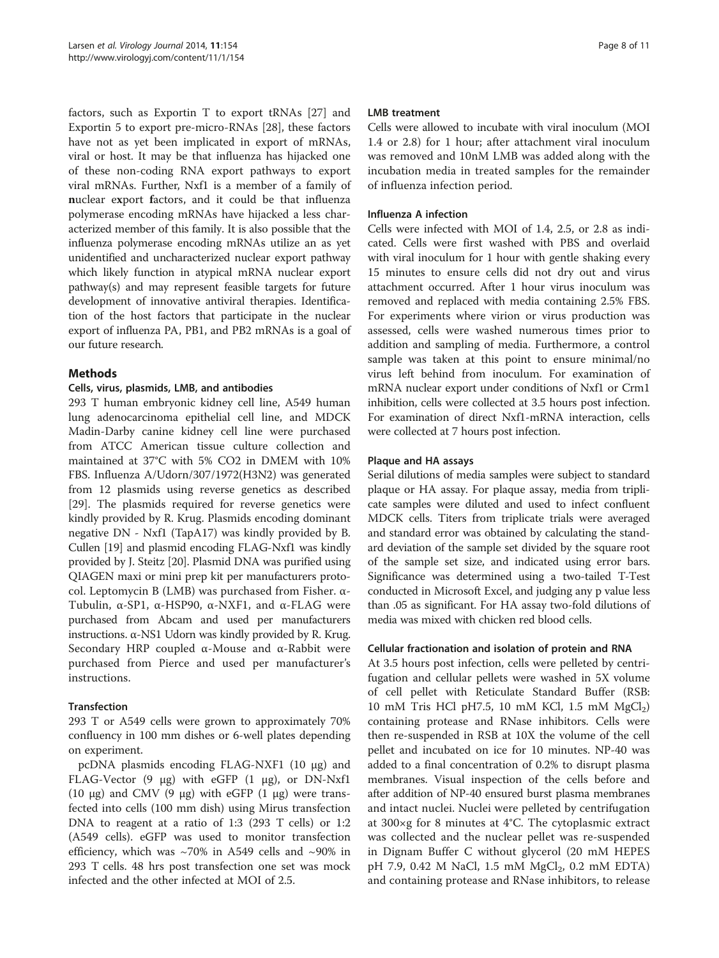factors, such as Exportin T to export tRNAs [[27\]](#page-10-0) and Exportin 5 to export pre-micro-RNAs [\[28](#page-10-0)], these factors have not as yet been implicated in export of mRNAs, viral or host. It may be that influenza has hijacked one of these non-coding RNA export pathways to export viral mRNAs. Further, Nxf1 is a member of a family of nuclear export factors, and it could be that influenza polymerase encoding mRNAs have hijacked a less characterized member of this family. It is also possible that the influenza polymerase encoding mRNAs utilize an as yet unidentified and uncharacterized nuclear export pathway which likely function in atypical mRNA nuclear export pathway(s) and may represent feasible targets for future development of innovative antiviral therapies. Identification of the host factors that participate in the nuclear export of influenza PA, PB1, and PB2 mRNAs is a goal of our future research.

# Methods

# Cells, virus, plasmids, LMB, and antibodies

293 T human embryonic kidney cell line, A549 human lung adenocarcinoma epithelial cell line, and MDCK Madin-Darby canine kidney cell line were purchased from ATCC American tissue culture collection and maintained at 37°C with 5% CO2 in DMEM with 10% FBS. Influenza A/Udorn/307/1972(H3N2) was generated from 12 plasmids using reverse genetics as described [[29\]](#page-10-0). The plasmids required for reverse genetics were kindly provided by R. Krug. Plasmids encoding dominant negative DN - Nxf1 (TapA17) was kindly provided by B. Cullen [\[19\]](#page-10-0) and plasmid encoding FLAG-Nxf1 was kindly provided by J. Steitz [\[20\]](#page-10-0). Plasmid DNA was purified using QIAGEN maxi or mini prep kit per manufacturers protocol. Leptomycin B (LMB) was purchased from Fisher. α-Tubulin, α-SP1, α-HSP90, α-NXF1, and α-FLAG were purchased from Abcam and used per manufacturers instructions. α-NS1 Udorn was kindly provided by R. Krug. Secondary HRP coupled α-Mouse and α-Rabbit were purchased from Pierce and used per manufacturer's instructions.

# Transfection

293 T or A549 cells were grown to approximately 70% confluency in 100 mm dishes or 6-well plates depending on experiment.

pcDNA plasmids encoding FLAG-NXF1 (10 μg) and FLAG-Vector (9 μg) with eGFP (1 μg), or DN-Nxf1 (10 μg) and CMV (9 μg) with eGFP (1 μg) were transfected into cells (100 mm dish) using Mirus transfection DNA to reagent at a ratio of 1:3 (293 T cells) or 1:2 (A549 cells). eGFP was used to monitor transfection efficiency, which was  $\sim$ 70% in A549 cells and  $\sim$ 90% in 293 T cells. 48 hrs post transfection one set was mock infected and the other infected at MOI of 2.5.

#### LMB treatment

Cells were allowed to incubate with viral inoculum (MOI 1.4 or 2.8) for 1 hour; after attachment viral inoculum was removed and 10nM LMB was added along with the incubation media in treated samples for the remainder of influenza infection period.

#### Influenza A infection

Cells were infected with MOI of 1.4, 2.5, or 2.8 as indicated. Cells were first washed with PBS and overlaid with viral inoculum for 1 hour with gentle shaking every 15 minutes to ensure cells did not dry out and virus attachment occurred. After 1 hour virus inoculum was removed and replaced with media containing 2.5% FBS. For experiments where virion or virus production was assessed, cells were washed numerous times prior to addition and sampling of media. Furthermore, a control sample was taken at this point to ensure minimal/no virus left behind from inoculum. For examination of mRNA nuclear export under conditions of Nxf1 or Crm1 inhibition, cells were collected at 3.5 hours post infection. For examination of direct Nxf1-mRNA interaction, cells were collected at 7 hours post infection.

#### Plaque and HA assays

Serial dilutions of media samples were subject to standard plaque or HA assay. For plaque assay, media from triplicate samples were diluted and used to infect confluent MDCK cells. Titers from triplicate trials were averaged and standard error was obtained by calculating the standard deviation of the sample set divided by the square root of the sample set size, and indicated using error bars. Significance was determined using a two-tailed T-Test conducted in Microsoft Excel, and judging any p value less than .05 as significant. For HA assay two-fold dilutions of media was mixed with chicken red blood cells.

#### Cellular fractionation and isolation of protein and RNA

At 3.5 hours post infection, cells were pelleted by centrifugation and cellular pellets were washed in 5X volume of cell pellet with Reticulate Standard Buffer (RSB: 10 mM Tris HCl pH7.5, 10 mM KCl, 1.5 mM  $MgCl<sub>2</sub>$ ) containing protease and RNase inhibitors. Cells were then re-suspended in RSB at 10X the volume of the cell pellet and incubated on ice for 10 minutes. NP-40 was added to a final concentration of 0.2% to disrupt plasma membranes. Visual inspection of the cells before and after addition of NP-40 ensured burst plasma membranes and intact nuclei. Nuclei were pelleted by centrifugation at 300×g for 8 minutes at 4°C. The cytoplasmic extract was collected and the nuclear pellet was re-suspended in Dignam Buffer C without glycerol (20 mM HEPES pH 7.9, 0.42 M NaCl, 1.5 mM  $MgCl_2$ , 0.2 mM EDTA) and containing protease and RNase inhibitors, to release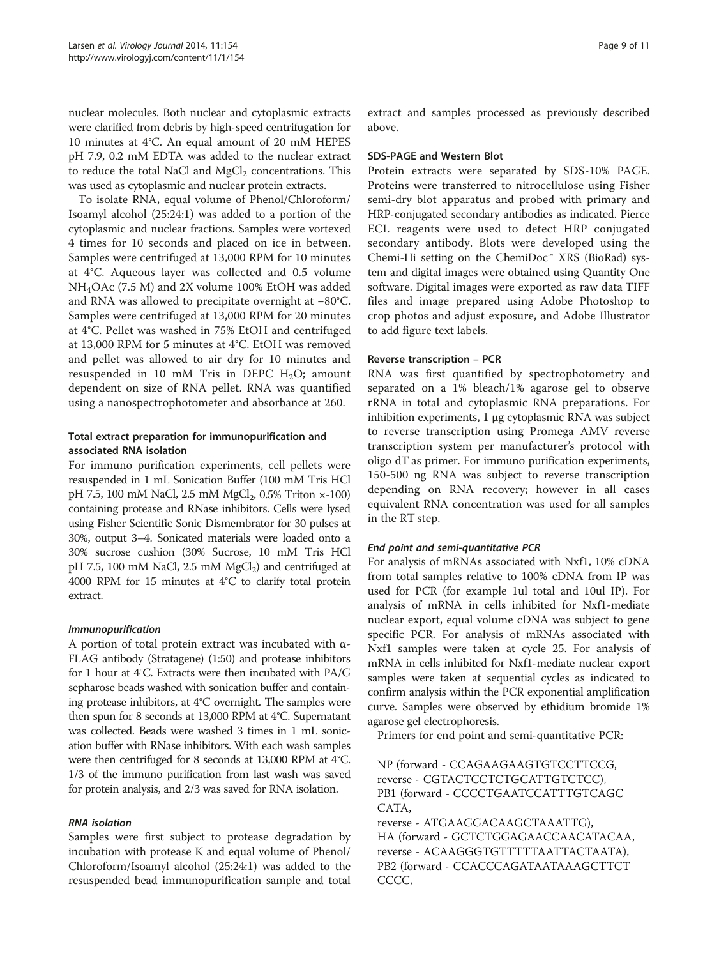nuclear molecules. Both nuclear and cytoplasmic extracts were clarified from debris by high-speed centrifugation for 10 minutes at 4°C. An equal amount of 20 mM HEPES pH 7.9, 0.2 mM EDTA was added to the nuclear extract to reduce the total NaCl and  $MgCl<sub>2</sub>$  concentrations. This was used as cytoplasmic and nuclear protein extracts.

To isolate RNA, equal volume of Phenol/Chloroform/ Isoamyl alcohol (25:24:1) was added to a portion of the cytoplasmic and nuclear fractions. Samples were vortexed 4 times for 10 seconds and placed on ice in between. Samples were centrifuged at 13,000 RPM for 10 minutes at 4°C. Aqueous layer was collected and 0.5 volume NH4OAc (7.5 M) and 2X volume 100% EtOH was added and RNA was allowed to precipitate overnight at −80°C. Samples were centrifuged at 13,000 RPM for 20 minutes at 4°C. Pellet was washed in 75% EtOH and centrifuged at 13,000 RPM for 5 minutes at 4°C. EtOH was removed and pellet was allowed to air dry for 10 minutes and resuspended in 10 mM Tris in DEPC  $H_2O$ ; amount dependent on size of RNA pellet. RNA was quantified using a nanospectrophotometer and absorbance at 260.

# Total extract preparation for immunopurification and associated RNA isolation

For immuno purification experiments, cell pellets were resuspended in 1 mL Sonication Buffer (100 mM Tris HCl pH 7.5, 100 mM NaCl, 2.5 mM  $MgCl_2$ , 0.5% Triton  $\times$ -100) containing protease and RNase inhibitors. Cells were lysed using Fisher Scientific Sonic Dismembrator for 30 pulses at 30%, output 3–4. Sonicated materials were loaded onto a 30% sucrose cushion (30% Sucrose, 10 mM Tris HCl pH 7.5, 100 mM NaCl, 2.5 mM  $MgCl<sub>2</sub>$ ) and centrifuged at 4000 RPM for 15 minutes at 4°C to clarify total protein extract.

# Immunopurification

A portion of total protein extract was incubated with α-FLAG antibody (Stratagene) (1:50) and protease inhibitors for 1 hour at 4°C. Extracts were then incubated with PA/G sepharose beads washed with sonication buffer and containing protease inhibitors, at 4°C overnight. The samples were then spun for 8 seconds at 13,000 RPM at 4°C. Supernatant was collected. Beads were washed 3 times in 1 mL sonication buffer with RNase inhibitors. With each wash samples were then centrifuged for 8 seconds at 13,000 RPM at 4°C. 1/3 of the immuno purification from last wash was saved for protein analysis, and 2/3 was saved for RNA isolation.

# RNA isolation

Samples were first subject to protease degradation by incubation with protease K and equal volume of Phenol/ Chloroform/Isoamyl alcohol (25:24:1) was added to the resuspended bead immunopurification sample and total extract and samples processed as previously described above.

# SDS-PAGE and Western Blot

Protein extracts were separated by SDS-10% PAGE. Proteins were transferred to nitrocellulose using Fisher semi-dry blot apparatus and probed with primary and HRP-conjugated secondary antibodies as indicated. Pierce ECL reagents were used to detect HRP conjugated secondary antibody. Blots were developed using the Chemi-Hi setting on the ChemiDoc™ XRS (BioRad) system and digital images were obtained using Quantity One software. Digital images were exported as raw data TIFF files and image prepared using Adobe Photoshop to crop photos and adjust exposure, and Adobe Illustrator to add figure text labels.

# Reverse transcription – PCR

RNA was first quantified by spectrophotometry and separated on a 1% bleach/1% agarose gel to observe rRNA in total and cytoplasmic RNA preparations. For inhibition experiments, 1 μg cytoplasmic RNA was subject to reverse transcription using Promega AMV reverse transcription system per manufacturer's protocol with oligo dT as primer. For immuno purification experiments, 150-500 ng RNA was subject to reverse transcription depending on RNA recovery; however in all cases equivalent RNA concentration was used for all samples in the RT step.

# End point and semi-quantitative PCR

For analysis of mRNAs associated with Nxf1, 10% cDNA from total samples relative to 100% cDNA from IP was used for PCR (for example 1ul total and 10ul IP). For analysis of mRNA in cells inhibited for Nxf1-mediate nuclear export, equal volume cDNA was subject to gene specific PCR. For analysis of mRNAs associated with Nxf1 samples were taken at cycle 25. For analysis of mRNA in cells inhibited for Nxf1-mediate nuclear export samples were taken at sequential cycles as indicated to confirm analysis within the PCR exponential amplification curve. Samples were observed by ethidium bromide 1% agarose gel electrophoresis.

Primers for end point and semi-quantitative PCR:

NP (forward - CCAGAAGAAGTGTCCTTCCG, reverse - CGTACTCCTCTGCATTGTCTCC), PB1 (forward - CCCCTGAATCCATTTGTCAGC CATA,

reverse - ATGAAGGACAAGCTAAATTG), HA (forward - GCTCTGGAGAACCAACATACAA, reverse - ACAAGGGTGTTTTTAATTACTAATA), PB2 (forward - CCACCCAGATAATAAAGCTTCT CCCC,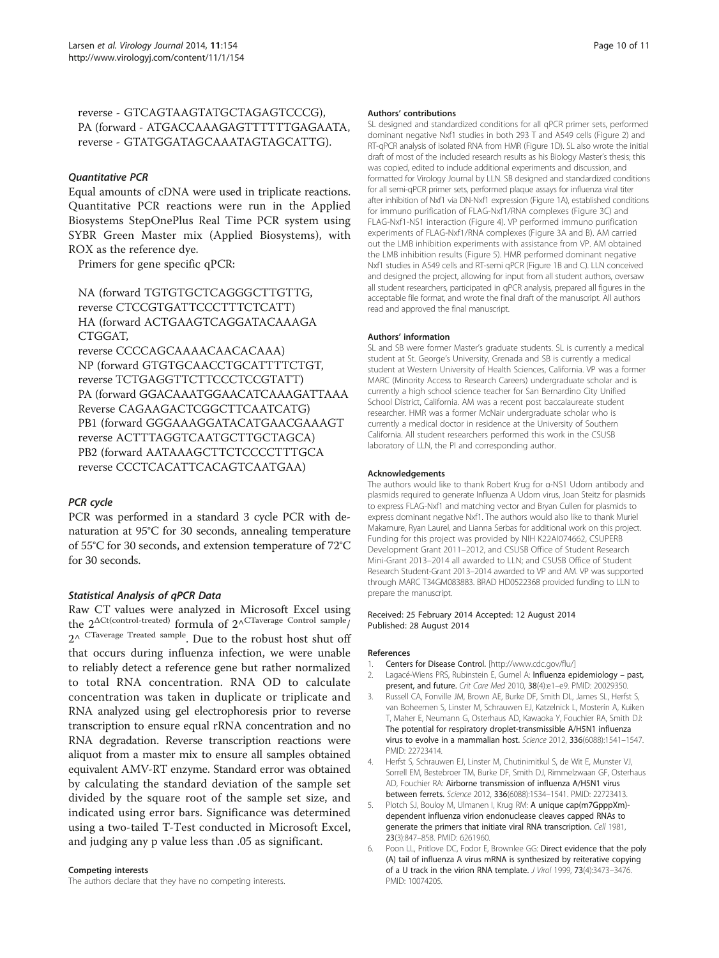<span id="page-9-0"></span>reverse - GTCAGTAAGTATGCTAGAGTCCCG), PA (forward - ATGACCAAAGAGTTTTTTGAGAATA, reverse - GTATGGATAGCAAATAGTAGCATTG).

#### Quantitative PCR

Equal amounts of cDNA were used in triplicate reactions. Quantitative PCR reactions were run in the Applied Biosystems StepOnePlus Real Time PCR system using SYBR Green Master mix (Applied Biosystems), with ROX as the reference dye.

Primers for gene specific qPCR:

NA (forward TGTGTGCTCAGGGCTTGTTG, reverse CTCCGTGATTCCCTTTCTCATT) HA (forward ACTGAAGTCAGGATACAAAGA CTGGAT,

reverse CCCCAGCAAAACAACACAAA) NP (forward GTGTGCAACCTGCATTTTCTGT, reverse TCTGAGGTTCTTCCCTCCGTATT) PA (forward GGACAAATGGAACATCAAAGATTAAA Reverse CAGAAGACTCGGCTTCAATCATG) PB1 (forward GGGAAAGGATACATGAACGAAAGT reverse ACTTTAGGTCAATGCTTGCTAGCA) PB2 (forward AATAAAGCTTCTCCCCTTTGCA reverse CCCTCACATTCACAGTCAATGAA)

# PCR cycle

PCR was performed in a standard 3 cycle PCR with denaturation at 95°C for 30 seconds, annealing temperature of 55°C for 30 seconds, and extension temperature of 72°C for 30 seconds.

#### Statistical Analysis of qPCR Data

Raw CT values were analyzed in Microsoft Excel using the  $2^{\Delta C t (control-treated)}$  formula of  $2^{\Lambda C T \text{average Control sample}}$  $2^{\wedge}$  CTaverage Treated sample. Due to the robust host shut off that occurs during influenza infection, we were unable to reliably detect a reference gene but rather normalized to total RNA concentration. RNA OD to calculate concentration was taken in duplicate or triplicate and RNA analyzed using gel electrophoresis prior to reverse transcription to ensure equal rRNA concentration and no RNA degradation. Reverse transcription reactions were aliquot from a master mix to ensure all samples obtained equivalent AMV-RT enzyme. Standard error was obtained by calculating the standard deviation of the sample set divided by the square root of the sample set size, and indicated using error bars. Significance was determined using a two-tailed T-Test conducted in Microsoft Excel, and judging any p value less than .05 as significant.

#### Competing interests

The authors declare that they have no competing interests.

#### Authors' contributions

SL designed and standardized conditions for all qPCR primer sets, performed dominant negative Nxf1 studies in both 293 T and A549 cells (Figure [2\)](#page-4-0) and RT-qPCR analysis of isolated RNA from HMR (Figure [1D](#page-3-0)). SL also wrote the initial draft of most of the included research results as his Biology Master's thesis; this was copied, edited to include additional experiments and discussion, and formatted for Virology Journal by LLN. SB designed and standardized conditions for all semi-qPCR primer sets, performed plaque assays for influenza viral titer after inhibition of Nxf1 via DN-Nxf1 expression (Figure [1A](#page-3-0)), established conditions for immuno purification of FLAG-Nxf1/RNA complexes (Figure [3C](#page-4-0)) and FLAG-Nxf1-NS1 interaction (Figure [4\)](#page-5-0). VP performed immuno purification experiments of FLAG-Nxf1/RNA complexes (Figure [3](#page-4-0)A and B). AM carried out the LMB inhibition experiments with assistance from VP. AM obtained the LMB inhibition results (Figure [5](#page-6-0)). HMR performed dominant negative Nxf1 studies in A549 cells and RT-semi qPCR (Figure [1B](#page-3-0) and C). LLN conceived and designed the project, allowing for input from all student authors, oversaw all student researchers, participated in qPCR analysis, prepared all figures in the acceptable file format, and wrote the final draft of the manuscript. All authors read and approved the final manuscript.

#### Authors' information

SL and SB were former Master's graduate students. SL is currently a medical student at St. George's University, Grenada and SB is currently a medical student at Western University of Health Sciences, California. VP was a former MARC (Minority Access to Research Careers) undergraduate scholar and is currently a high school science teacher for San Bernardino City Unified School District, California. AM was a recent post baccalaureate student researcher. HMR was a former McNair undergraduate scholar who is currently a medical doctor in residence at the University of Southern California. All student researchers performed this work in the CSUSB laboratory of LLN, the PI and corresponding author.

#### Acknowledgements

The authors would like to thank Robert Krug for α-NS1 Udorn antibody and plasmids required to generate Influenza A Udorn virus, Joan Steitz for plasmids to express FLAG-Nxf1 and matching vector and Bryan Cullen for plasmids to express dominant negative Nxf1. The authors would also like to thank Muriel Makamure, Ryan Laurel, and Lianna Serbas for additional work on this project. Funding for this project was provided by NIH K22AI074662, CSUPERB Development Grant 2011–2012, and CSUSB Office of Student Research Mini-Grant 2013–2014 all awarded to LLN; and CSUSB Office of Student Research Student-Grant 2013–2014 awarded to VP and AM. VP was supported through MARC T34GM083883. BRAD HD0522368 provided funding to LLN to prepare the manuscript.

#### Received: 25 February 2014 Accepted: 12 August 2014 Published: 28 August 2014

#### References

- 1. Centers for Disease Control. [<http://www.cdc.gov/flu/>]
- 2. Lagacé-Wiens PRS, Rubinstein E, Gumel A: Influenza epidemiology past, present, and future. Crit Care Med 2010, 38(4):e1–e9. PMID: 20029350.
- 3. Russell CA, Fonville JM, Brown AE, Burke DF, Smith DL, James SL, Herfst S, van Boheemen S, Linster M, Schrauwen EJ, Katzelnick L, Mosterín A, Kuiken T, Maher E, Neumann G, Osterhaus AD, Kawaoka Y, Fouchier RA, Smith DJ: The potential for respiratory droplet-transmissible A/H5N1 influenza virus to evolve in a mammalian host. Science 2012, 336(6088):1541–1547. PMID: 22723414.
- 4. Herfst S, Schrauwen EJ, Linster M, Chutinimitkul S, de Wit E, Munster VJ, Sorrell EM, Bestebroer TM, Burke DF, Smith DJ, Rimmelzwaan GF, Osterhaus AD, Fouchier RA: Airborne transmission of influenza A/H5N1 virus between ferrets. Science 2012, 336(6088):1534–1541. PMID: 22723413.
- 5. Plotch SJ, Bouloy M, Ulmanen I, Krug RM: A unique cap(m7GpppXm) dependent influenza virion endonuclease cleaves capped RNAs to generate the primers that initiate viral RNA transcription. Cell 1981, 23(3):847–858. PMID: 6261960.
- Poon LL, Pritlove DC, Fodor E, Brownlee GG: Direct evidence that the poly (A) tail of influenza A virus mRNA is synthesized by reiterative copying of a U track in the virion RNA template. J Virol 1999, 73(4):3473–3476. PMID: 10074205.